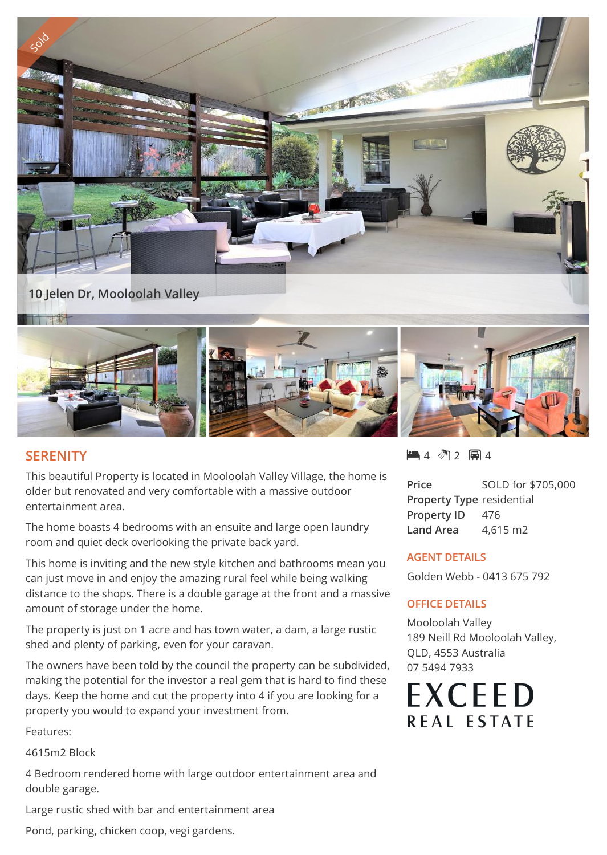

## **SERENITY**

This beautiful Property is located in Mooloolah Valley Village, the home is older but renovated and very comfortable with a massive outdoor entertainment area.

The home boasts 4 bedrooms with an ensuite and large open laundry room and quiet deck overlooking the private back yard.

This home is inviting and the new style kitchen and bathrooms mean you can just move in and enjoy the amazing rural feel while being walking distance to the shops. There is a double garage at the front and a massive amount of storage under the home.

The property is just on 1 acre and has town water, a dam, a large rustic shed and plenty of parking, even for your caravan.

The owners have been told by the council the property can be subdivided, making the potential for the investor a real gem that is hard to find these days. Keep the home and cut the property into 4 if you are looking for a property you would to expand your investment from.

Features:

4615m2 Block

4 Bedroom rendered home with large outdoor entertainment area and double garage.

Large rustic shed with bar and entertainment area

Pond, parking, chicken coop, vegi gardens.

 $-4$   $2$   $-1$ 

**Price** SOLD for \$705,000 **Property Type** residential Property ID 476 **Land Area** 4,615 m2

## **AGENT DETAILS**

Golden Webb - 0413 675 792

## **OFFICE DETAILS**

Mooloolah Valley 189 Neill Rd Mooloolah Valley, QLD, 4553 Australia 07 5494 7933

**EXCEED REAL ESTATE**